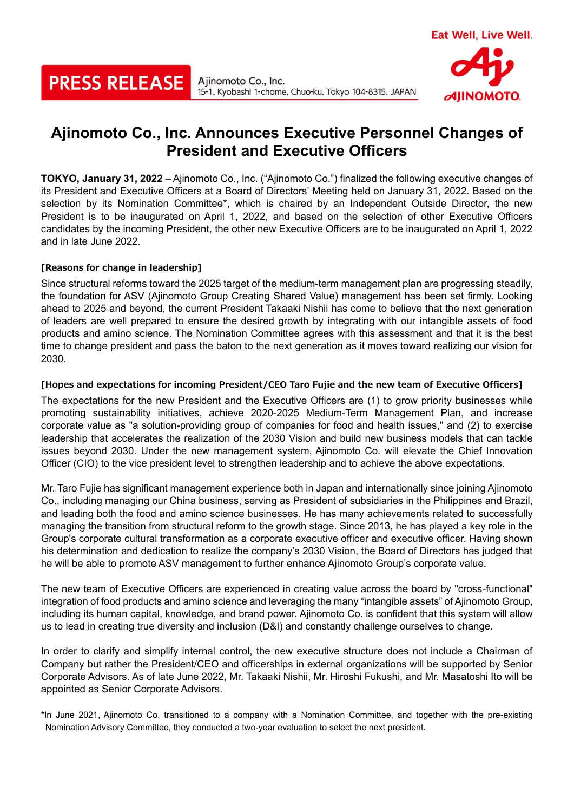# **PRESS RELEASE**

Ajinomoto Co., Inc. 15-1, Kyobashi 1-chome, Chuo-ku, Tokyo 104-8315, JAPAN

# **Ajinomoto Co., Inc. Announces Executive Personnel Changes of President and Executive Officers**

**TOKYO, January 31, 2022** – Ajinomoto Co., Inc. ("Ajinomoto Co.") finalized the following executive changes of its President and Executive Officers at a Board of Directors' Meeting held on January 31, 2022. Based on the selection by its Nomination Committee\*, which is chaired by an Independent Outside Director, the new President is to be inaugurated on April 1, 2022, and based on the selection of other Executive Officers candidates by the incoming President, the other new Executive Officers are to be inaugurated on April 1, 2022 and in late June 2022.

## **[Reasons for change in leadership]**

Since structural reforms toward the 2025 target of the medium-term management plan are progressing steadily, the foundation for ASV (Ajinomoto Group Creating Shared Value) management has been set firmly. Looking ahead to 2025 and beyond, the current President Takaaki Nishii has come to believe that the next generation of leaders are well prepared to ensure the desired growth by integrating with our intangible assets of food products and amino science. The Nomination Committee agrees with this assessment and that it is the best time to change president and pass the baton to the next generation as it moves toward realizing our vision for 2030.

### **[Hopes and expectations for incoming President/CEO Taro Fujie and the new team of Executive Officers]**

The expectations for the new President and the Executive Officers are (1) to grow priority businesses while promoting sustainability initiatives, achieve 2020-2025 Medium-Term Management Plan, and increase corporate value as "a solution-providing group of companies for food and health issues," and (2) to exercise leadership that accelerates the realization of the 2030 Vision and build new business models that can tackle issues beyond 2030. Under the new management system, Ajinomoto Co. will elevate the Chief Innovation Officer (CIO) to the vice president level to strengthen leadership and to achieve the above expectations.

Mr. Taro Fujie has significant management experience both in Japan and internationally since joining Ajinomoto Co., including managing our China business, serving as President of subsidiaries in the Philippines and Brazil, and leading both the food and amino science businesses. He has many achievements related to successfully managing the transition from structural reform to the growth stage. Since 2013, he has played a key role in the Group's corporate cultural transformation as a corporate executive officer and executive officer. Having shown his determination and dedication to realize the company's 2030 Vision, the Board of Directors has judged that he will be able to promote ASV management to further enhance Ajinomoto Group's corporate value.

The new team of Executive Officers are experienced in creating value across the board by "cross-functional" integration of food products and amino science and leveraging the many "intangible assets" of Ajinomoto Group, including its human capital, knowledge, and brand power. Ajinomoto Co. is confident that this system will allow us to lead in creating true diversity and inclusion (D&I) and constantly challenge ourselves to change.

In order to clarify and simplify internal control, the new executive structure does not include a Chairman of Company but rather the President/CEO and officerships in external organizations will be supported by Senior Corporate Advisors. As of late June 2022, Mr. Takaaki Nishii, Mr. Hiroshi Fukushi, and Mr. Masatoshi Ito will be appointed as Senior Corporate Advisors.

\*In June 2021, Ajinomoto Co. transitioned to a company with a Nomination Committee, and together with the pre-existing Nomination Advisory Committee, they conducted a two-year evaluation to select the next president.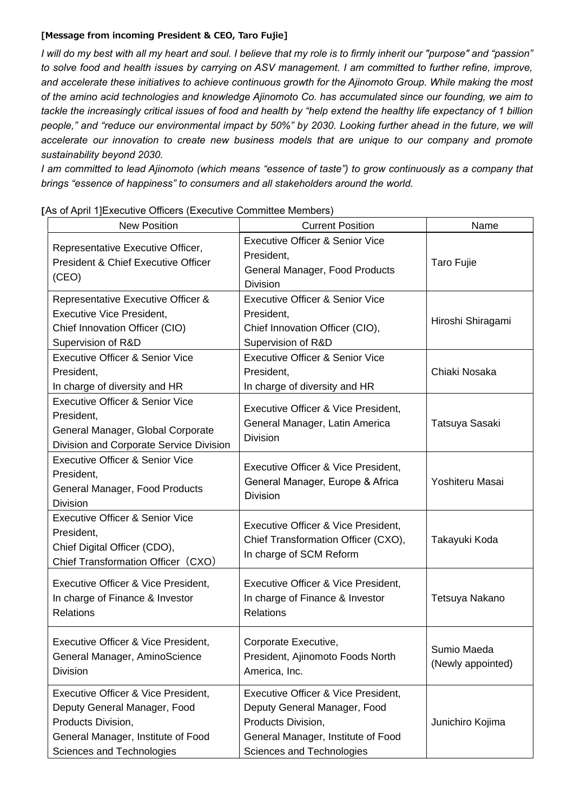#### **[Message from incoming President & CEO, Taro Fujie]**

*I will do my best with all my heart and soul. I believe that my role is to firmly inherit our "purpose" and "passion" to solve food and health issues by carrying on ASV management. I am committed to further refine, improve, and accelerate these initiatives to achieve continuous growth for the Ajinomoto Group. While making the most of the amino acid technologies and knowledge Ajinomoto Co. has accumulated since our founding, we aim to tackle the increasingly critical issues of food and health by "help extend the healthy life expectancy of 1 billion people," and "reduce our environmental impact by 50%" by 2030. Looking further ahead in the future, we will accelerate our innovation to create new business models that are unique to our company and promote sustainability beyond 2030.*

*I am committed to lead Ajinomoto (which means "essence of taste") to grow continuously as a company that brings "essence of happiness" to consumers and all stakeholders around the world.*

| <b>New Position</b>                                                                                                                                          | <b>Current Position</b>                                                                                                                                      | Name                             |
|--------------------------------------------------------------------------------------------------------------------------------------------------------------|--------------------------------------------------------------------------------------------------------------------------------------------------------------|----------------------------------|
| Representative Executive Officer,<br>President & Chief Executive Officer<br>(CEO)                                                                            | <b>Executive Officer &amp; Senior Vice</b><br>President,<br>General Manager, Food Products<br><b>Division</b>                                                | <b>Taro Fujie</b>                |
| Representative Executive Officer &<br><b>Executive Vice President,</b><br>Chief Innovation Officer (CIO)<br>Supervision of R&D                               | <b>Executive Officer &amp; Senior Vice</b><br>President,<br>Chief Innovation Officer (CIO),<br>Supervision of R&D                                            | Hiroshi Shiragami                |
| <b>Executive Officer &amp; Senior Vice</b><br>President,<br>In charge of diversity and HR                                                                    | <b>Executive Officer &amp; Senior Vice</b><br>President,<br>In charge of diversity and HR                                                                    | Chiaki Nosaka                    |
| <b>Executive Officer &amp; Senior Vice</b><br>President,<br>General Manager, Global Corporate<br>Division and Corporate Service Division                     | Executive Officer & Vice President,<br>General Manager, Latin America<br><b>Division</b>                                                                     | Tatsuya Sasaki                   |
| <b>Executive Officer &amp; Senior Vice</b><br>President,<br>General Manager, Food Products<br><b>Division</b>                                                | Executive Officer & Vice President,<br>General Manager, Europe & Africa<br><b>Division</b>                                                                   | Yoshiteru Masai                  |
| <b>Executive Officer &amp; Senior Vice</b><br>President,<br>Chief Digital Officer (CDO),<br>Chief Transformation Officer (CXO)                               | Executive Officer & Vice President,<br>Chief Transformation Officer (CXO),<br>In charge of SCM Reform                                                        | Takayuki Koda                    |
| Executive Officer & Vice President,<br>In charge of Finance & Investor<br>Relations                                                                          | Executive Officer & Vice President,<br>In charge of Finance & Investor<br>Relations                                                                          | Tetsuya Nakano                   |
| Executive Officer & Vice President,<br>General Manager, AminoScience<br>Division                                                                             | Corporate Executive,<br>President, Ajinomoto Foods North<br>America, Inc.                                                                                    | Sumio Maeda<br>(Newly appointed) |
| Executive Officer & Vice President,<br>Deputy General Manager, Food<br>Products Division,<br>General Manager, Institute of Food<br>Sciences and Technologies | Executive Officer & Vice President,<br>Deputy General Manager, Food<br>Products Division,<br>General Manager, Institute of Food<br>Sciences and Technologies | Junichiro Kojima                 |

|  | [As of April 1] Executive Officers (Executive Committee Members) |  |  |
|--|------------------------------------------------------------------|--|--|
|  |                                                                  |  |  |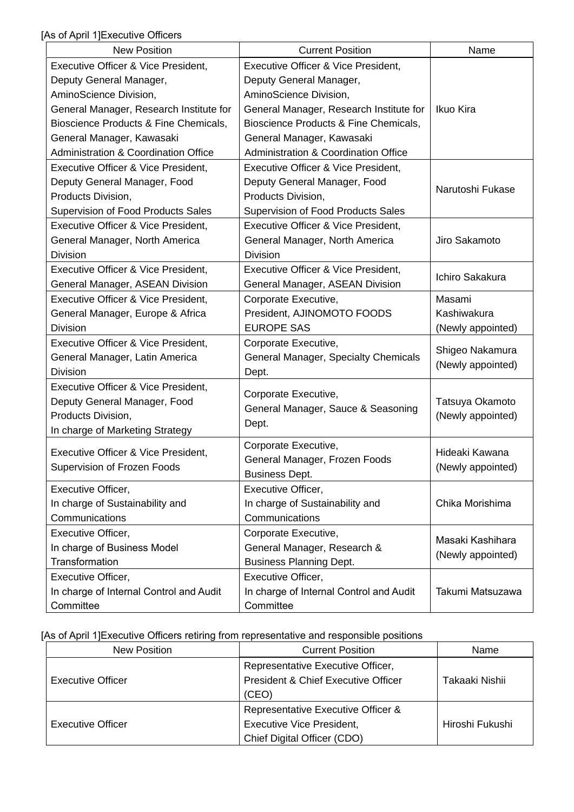[As of April 1]Executive Officers

| <b>New Position</b>                             | <b>Current Position</b>                         | Name              |  |
|-------------------------------------------------|-------------------------------------------------|-------------------|--|
| Executive Officer & Vice President,             | Executive Officer & Vice President,             |                   |  |
| Deputy General Manager,                         | Deputy General Manager,                         |                   |  |
| AminoScience Division,                          | AminoScience Division,                          |                   |  |
| General Manager, Research Institute for         | General Manager, Research Institute for         | Ikuo Kira         |  |
| Bioscience Products & Fine Chemicals,           | Bioscience Products & Fine Chemicals,           |                   |  |
| General Manager, Kawasaki                       | General Manager, Kawasaki                       |                   |  |
| <b>Administration &amp; Coordination Office</b> | <b>Administration &amp; Coordination Office</b> |                   |  |
| Executive Officer & Vice President,             | Executive Officer & Vice President,             |                   |  |
| Deputy General Manager, Food                    | Deputy General Manager, Food                    |                   |  |
| Products Division,                              | Products Division,                              | Narutoshi Fukase  |  |
| Supervision of Food Products Sales              | Supervision of Food Products Sales              |                   |  |
| Executive Officer & Vice President,             | Executive Officer & Vice President,             |                   |  |
| General Manager, North America                  | General Manager, North America                  | Jiro Sakamoto     |  |
| <b>Division</b>                                 | <b>Division</b>                                 |                   |  |
| Executive Officer & Vice President,             | Executive Officer & Vice President,             |                   |  |
| General Manager, ASEAN Division                 | General Manager, ASEAN Division                 | Ichiro Sakakura   |  |
| Executive Officer & Vice President,             | Corporate Executive,                            | Masami            |  |
| General Manager, Europe & Africa                | President, AJINOMOTO FOODS                      | Kashiwakura       |  |
| <b>Division</b>                                 | <b>EUROPE SAS</b>                               | (Newly appointed) |  |
| Executive Officer & Vice President,             | Corporate Executive,                            |                   |  |
| General Manager, Latin America                  | General Manager, Specialty Chemicals            | Shigeo Nakamura   |  |
| Division                                        | Dept.                                           | (Newly appointed) |  |
| Executive Officer & Vice President,             |                                                 |                   |  |
| Deputy General Manager, Food                    | Corporate Executive,                            | Tatsuya Okamoto   |  |
| Products Division.                              | General Manager, Sauce & Seasoning              | (Newly appointed) |  |
| In charge of Marketing Strategy                 | Dept.                                           |                   |  |
|                                                 | Corporate Executive,                            | Hideaki Kawana    |  |
| Executive Officer & Vice President,             | General Manager, Frozen Foods                   |                   |  |
| Supervision of Frozen Foods                     | <b>Business Dept.</b>                           | (Newly appointed) |  |
| Executive Officer,                              | Executive Officer,                              |                   |  |
| In charge of Sustainability and                 | In charge of Sustainability and                 | Chika Morishima   |  |
| Communications                                  | Communications                                  |                   |  |
| Executive Officer,                              | Corporate Executive,                            |                   |  |
| In charge of Business Model                     | General Manager, Research &                     | Masaki Kashihara  |  |
| Transformation                                  | <b>Business Planning Dept.</b>                  | (Newly appointed) |  |
| Executive Officer,                              | Executive Officer,                              |                   |  |
| In charge of Internal Control and Audit         | In charge of Internal Control and Audit         | Takumi Matsuzawa  |  |
| Committee                                       | Committee                                       |                   |  |

[As of April 1]Executive Officers retiring from representative and responsible positions

| <b>New Position</b>      | <b>Current Position</b>             | Name            |
|--------------------------|-------------------------------------|-----------------|
|                          | Representative Executive Officer,   |                 |
| <b>Executive Officer</b> | President & Chief Executive Officer | Takaaki Nishii  |
|                          | (CEO)                               |                 |
|                          | Representative Executive Officer &  |                 |
| <b>Executive Officer</b> | <b>Executive Vice President,</b>    | Hiroshi Fukushi |
|                          | Chief Digital Officer (CDO)         |                 |